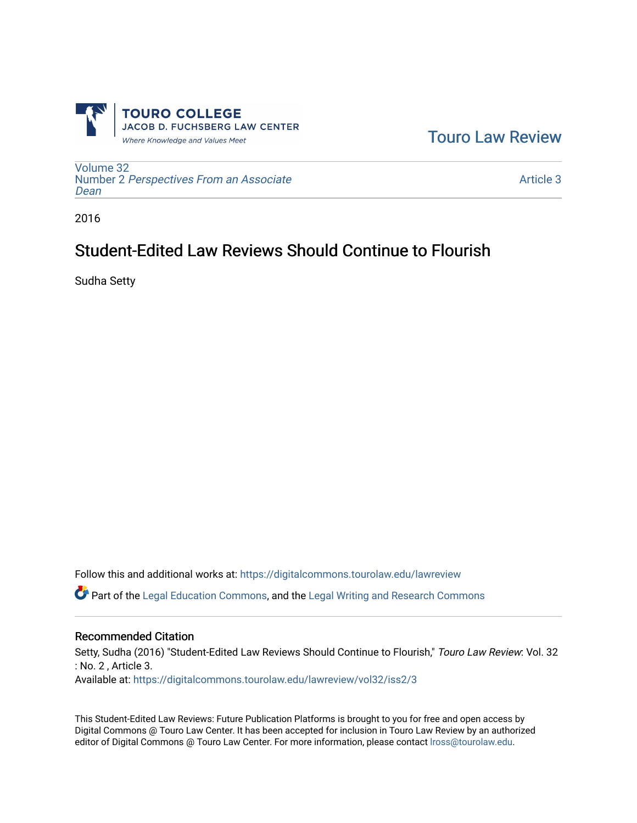

[Touro Law Review](https://digitalcommons.tourolaw.edu/lawreview) 

[Volume 32](https://digitalcommons.tourolaw.edu/lawreview/vol32) Number 2 [Perspectives From an Associate](https://digitalcommons.tourolaw.edu/lawreview/vol32/iss2)  [Dean](https://digitalcommons.tourolaw.edu/lawreview/vol32/iss2)

[Article 3](https://digitalcommons.tourolaw.edu/lawreview/vol32/iss2/3) 

2016

# Student-Edited Law Reviews Should Continue to Flourish

Sudha Setty

Follow this and additional works at: [https://digitalcommons.tourolaw.edu/lawreview](https://digitalcommons.tourolaw.edu/lawreview?utm_source=digitalcommons.tourolaw.edu%2Flawreview%2Fvol32%2Fiss2%2F3&utm_medium=PDF&utm_campaign=PDFCoverPages)

Part of the [Legal Education Commons,](http://network.bepress.com/hgg/discipline/857?utm_source=digitalcommons.tourolaw.edu%2Flawreview%2Fvol32%2Fiss2%2F3&utm_medium=PDF&utm_campaign=PDFCoverPages) and the [Legal Writing and Research Commons](http://network.bepress.com/hgg/discipline/614?utm_source=digitalcommons.tourolaw.edu%2Flawreview%2Fvol32%2Fiss2%2F3&utm_medium=PDF&utm_campaign=PDFCoverPages)

#### Recommended Citation

Setty, Sudha (2016) "Student-Edited Law Reviews Should Continue to Flourish," Touro Law Review: Vol. 32 : No. 2 , Article 3.

Available at: [https://digitalcommons.tourolaw.edu/lawreview/vol32/iss2/3](https://digitalcommons.tourolaw.edu/lawreview/vol32/iss2/3?utm_source=digitalcommons.tourolaw.edu%2Flawreview%2Fvol32%2Fiss2%2F3&utm_medium=PDF&utm_campaign=PDFCoverPages)

This Student-Edited Law Reviews: Future Publication Platforms is brought to you for free and open access by Digital Commons @ Touro Law Center. It has been accepted for inclusion in Touro Law Review by an authorized editor of Digital Commons @ Touro Law Center. For more information, please contact [lross@tourolaw.edu.](mailto:lross@tourolaw.edu)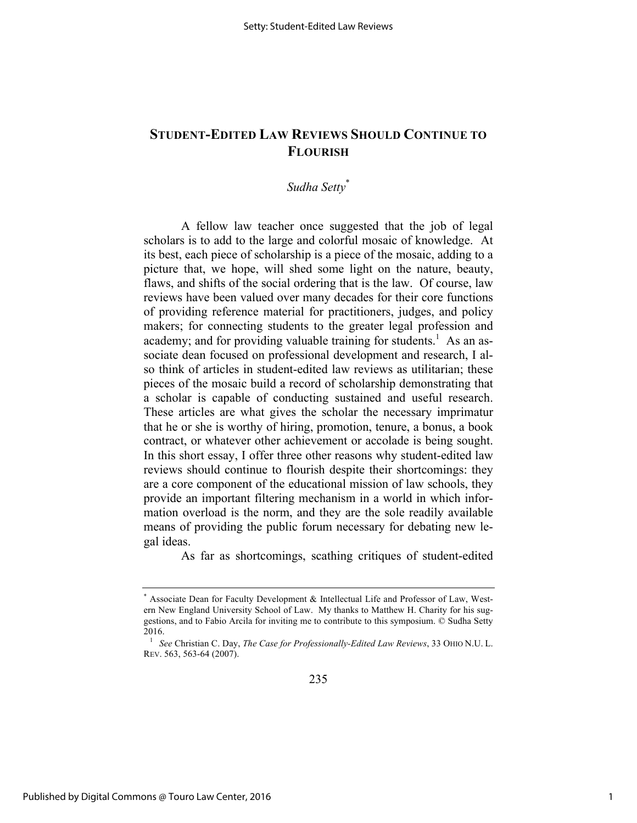## **STUDENT-EDITED LAW REVIEWS SHOULD CONTINUE TO FLOURISH**

### *Sudha Setty*\*

A fellow law teacher once suggested that the job of legal scholars is to add to the large and colorful mosaic of knowledge. At its best, each piece of scholarship is a piece of the mosaic, adding to a picture that, we hope, will shed some light on the nature, beauty, flaws, and shifts of the social ordering that is the law. Of course, law reviews have been valued over many decades for their core functions of providing reference material for practitioners, judges, and policy makers; for connecting students to the greater legal profession and academy; and for providing valuable training for students.<sup>1</sup> As an associate dean focused on professional development and research, I also think of articles in student-edited law reviews as utilitarian; these pieces of the mosaic build a record of scholarship demonstrating that a scholar is capable of conducting sustained and useful research. These articles are what gives the scholar the necessary imprimatur that he or she is worthy of hiring, promotion, tenure, a bonus, a book contract, or whatever other achievement or accolade is being sought. In this short essay, I offer three other reasons why student-edited law reviews should continue to flourish despite their shortcomings: they are a core component of the educational mission of law schools, they provide an important filtering mechanism in a world in which information overload is the norm, and they are the sole readily available means of providing the public forum necessary for debating new legal ideas.

As far as shortcomings, scathing critiques of student-edited

Associate Dean for Faculty Development & Intellectual Life and Professor of Law, Western New England University School of Law. My thanks to Matthew H. Charity for his suggestions, and to Fabio Arcila for inviting me to contribute to this symposium. © Sudha Setty 2016.

<sup>1</sup> *See* Christian C. Day, *The Case for Professionally-Edited Law Reviews*, 33 OHIO N.U. L. REV. 563, 563-64 (2007).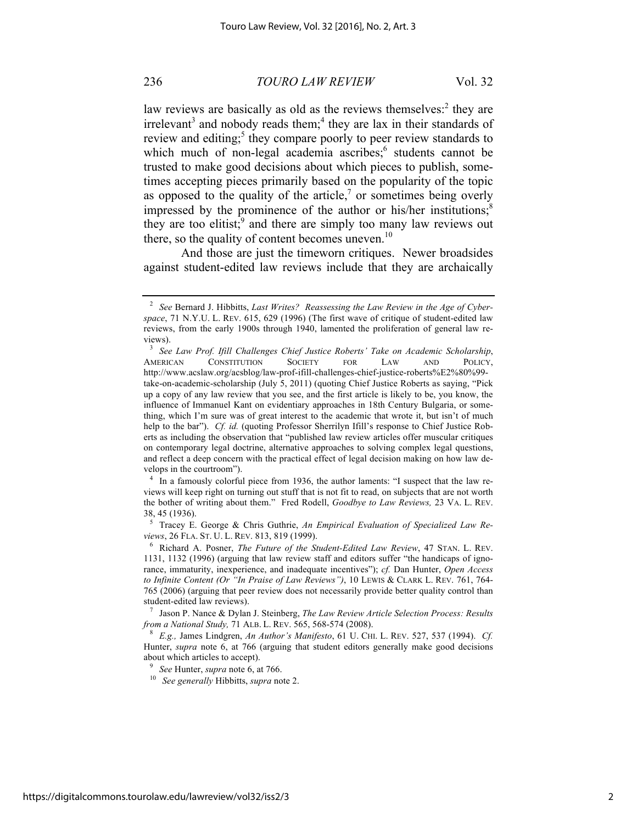#### 236 *TOURO LAW REVIEW* Vol. 32

law reviews are basically as old as the reviews themselves:<sup>2</sup> they are irrelevant<sup>3</sup> and nobody reads them;<sup>4</sup> they are lax in their standards of review and editing;<sup>5</sup> they compare poorly to peer review standards to which much of non-legal academia ascribes;<sup>6</sup> students cannot be trusted to make good decisions about which pieces to publish, sometimes accepting pieces primarily based on the popularity of the topic as opposed to the quality of the article, $\alpha$  or sometimes being overly impressed by the prominence of the author or his/her institutions; $<sup>8</sup>$ </sup> they are too elitist; $\frac{9}{2}$  and there are simply too many law reviews out there, so the quality of content becomes uneven. $^{10}$ 

And those are just the timeworn critiques. Newer broadsides against student-edited law reviews include that they are archaically

<sup>4</sup> In a famously colorful piece from 1936, the author laments: "I suspect that the law reviews will keep right on turning out stuff that is not fit to read, on subjects that are not worth the bother of writing about them." Fred Rodell, *Goodbye to Law Reviews,* 23 VA. L. REV. 38, 45 (1936).

<sup>5</sup> Tracey E. George & Chris Guthrie, *An Empirical Evaluation of Specialized Law Reviews*, 26 FLA. ST. U. L. REV. 813, 819 (1999).

<sup>7</sup> Jason P. Nance & Dylan J. Steinberg, *The Law Review Article Selection Process: Results from a National Study,* 71 ALB. L. REV. 565, 568-574 (2008).

<sup>8</sup> *E.g.,* James Lindgren, *An Author's Manifesto*, 61 U. CHI. L. REV. 527, 537 (1994). *Cf.*  Hunter, *supra* note 6, at 766 (arguing that student editors generally make good decisions about which articles to accept).

<sup>2</sup> *See* Bernard J. Hibbitts, *Last Writes? Reassessing the Law Review in the Age of Cyberspace*, 71 N.Y.U. L. REV. 615, 629 (1996) (The first wave of critique of student-edited law reviews, from the early 1900s through 1940, lamented the proliferation of general law reviews).

<sup>3</sup> *See Law Prof. Ifill Challenges Chief Justice Roberts' Take on Academic Scholarship*, AMERICAN CONSTITUTION SOCIETY FOR LAW AND POLICY, http://www.acslaw.org/acsblog/law-prof-ifill-challenges-chief-justice-roberts%E2%80%99 take-on-academic-scholarship (July 5, 2011) (quoting Chief Justice Roberts as saying, "Pick up a copy of any law review that you see, and the first article is likely to be, you know, the influence of Immanuel Kant on evidentiary approaches in 18th Century Bulgaria, or something, which I'm sure was of great interest to the academic that wrote it, but isn't of much help to the bar"). *Cf. id.* (quoting Professor Sherrilyn Ifill's response to Chief Justice Roberts as including the observation that "published law review articles offer muscular critiques on contemporary legal doctrine, alternative approaches to solving complex legal questions, and reflect a deep concern with the practical effect of legal decision making on how law develops in the courtroom").

<sup>6</sup> Richard A. Posner, *The Future of the Student-Edited Law Review*, 47 STAN. L. REV. 1131, 1132 (1996) (arguing that law review staff and editors suffer "the handicaps of ignorance, immaturity, inexperience, and inadequate incentives"); *cf.* Dan Hunter, *Open Access to Infinite Content (Or "In Praise of Law Reviews")*, 10 LEWIS & CLARK L. REV. 761, 764- 765 (2006) (arguing that peer review does not necessarily provide better quality control than student-edited law reviews).

<sup>9</sup> *See* Hunter, *supra* note 6, at 766.

<sup>10</sup> *See generally* Hibbitts, *supra* note 2.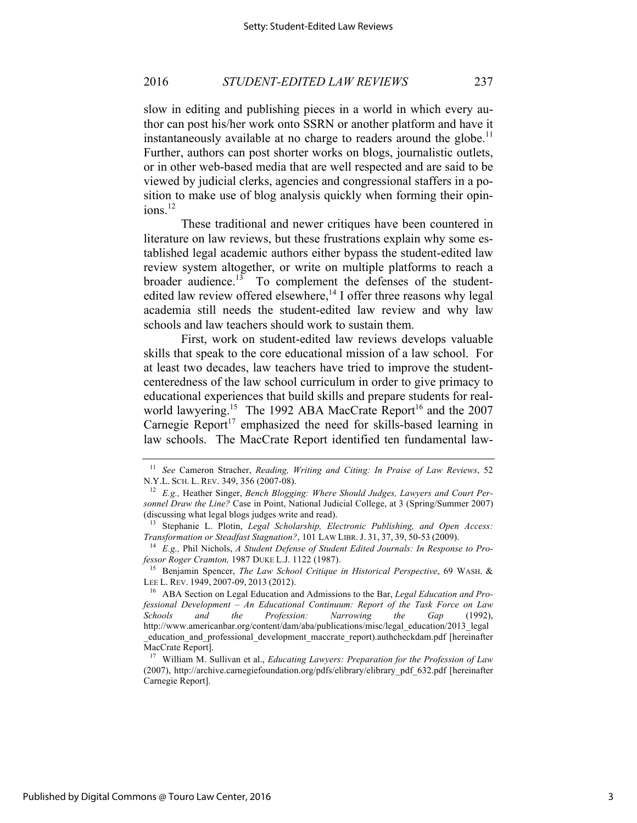#### 2016 *STUDENT-EDITED LAW REVIEWS* 237

slow in editing and publishing pieces in a world in which every author can post his/her work onto SSRN or another platform and have it instantaneously available at no charge to readers around the globe.<sup>11</sup> Further, authors can post shorter works on blogs, journalistic outlets, or in other web-based media that are well respected and are said to be viewed by judicial clerks, agencies and congressional staffers in a position to make use of blog analysis quickly when forming their opinions.<sup>12</sup>

These traditional and newer critiques have been countered in literature on law reviews, but these frustrations explain why some established legal academic authors either bypass the student-edited law review system altogether, or write on multiple platforms to reach a broader audience.<sup>13</sup> To complement the defenses of the studentedited law review offered elsewhere,<sup>14</sup> I offer three reasons why legal academia still needs the student-edited law review and why law schools and law teachers should work to sustain them.

First, work on student-edited law reviews develops valuable skills that speak to the core educational mission of a law school. For at least two decades, law teachers have tried to improve the studentcenteredness of the law school curriculum in order to give primacy to educational experiences that build skills and prepare students for realworld lawyering.<sup>15</sup> The 1992 ABA MacCrate Report<sup>16</sup> and the 2007 Carnegie Report<sup>17</sup> emphasized the need for skills-based learning in law schools. The MacCrate Report identified ten fundamental law-

<sup>11</sup> *See* Cameron Stracher, *Reading, Writing and Citing: In Praise of Law Reviews*, 52 N.Y.L. SCH. L. REV. 349, 356 (2007-08).

<sup>12</sup> *E.g.,* Heather Singer, *Bench Blogging: Where Should Judges, Lawyers and Court Personnel Draw the Line?* Case in Point, National Judicial College, at 3 (Spring/Summer 2007) (discussing what legal blogs judges write and read).

<sup>&</sup>lt;sup>13</sup> Stephanie L. Plotin, *Legal Scholarship, Electronic Publishing, and Open Access: Transformation or Steadfast Stagnation?*, 101 LAW LIBR. J. 31, 37, 39, 50-53 (2009).

<sup>14</sup> *E.g.,* Phil Nichols, *A Student Defense of Student Edited Journals: In Response to Professor Roger Cramton,* 1987 DUKE L.J. 1122 (1987).

<sup>15</sup> Benjamin Spencer, *The Law School Critique in Historical Perspective*, 69 WASH. & LEE L. REV. 1949, 2007-09, 2013 (2012).

<sup>16</sup> ABA Section on Legal Education and Admissions to the Bar, *Legal Education and Professional Development – An Educational Continuum: Report of the Task Force on Law Schools and the Profession: Narrowing the Gap* (1992), http://www.americanbar.org/content/dam/aba/publications/misc/legal\_education/2013\_legal\_ \_education\_and\_professional\_development\_maccrate\_report).authcheckdam.pdf [hereinafter MacCrate Report].

<sup>17</sup> William M. Sullivan et al., *Educating Lawyers: Preparation for the Profession of Law*  (2007), http://archive.carnegiefoundation.org/pdfs/elibrary/elibrary\_pdf\_632.pdf [hereinafter Carnegie Report].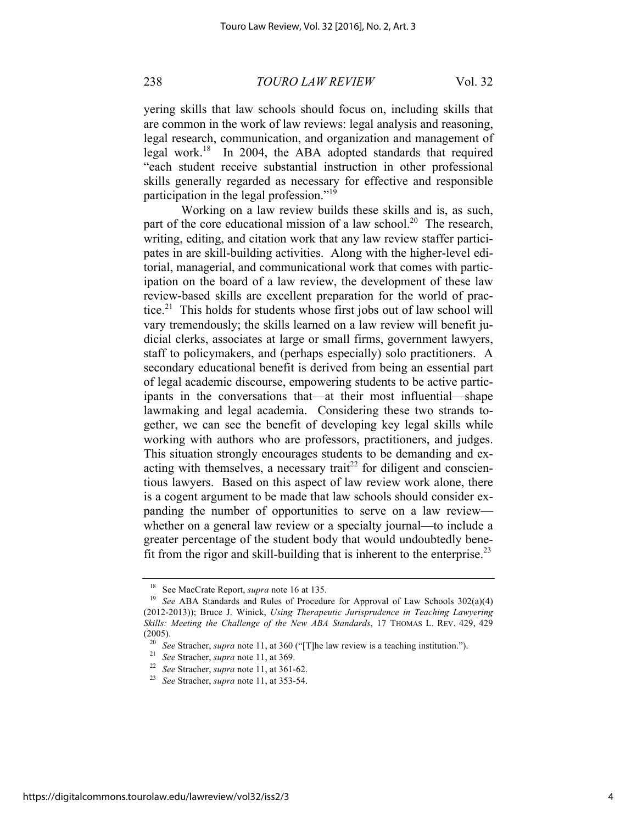238 *TOURO LAW REVIEW* Vol. 32

yering skills that law schools should focus on, including skills that are common in the work of law reviews: legal analysis and reasoning, legal research, communication, and organization and management of legal work.18 In 2004, the ABA adopted standards that required "each student receive substantial instruction in other professional skills generally regarded as necessary for effective and responsible participation in the legal profession."<sup>19</sup>

Working on a law review builds these skills and is, as such, part of the core educational mission of a law school.<sup>20</sup> The research, writing, editing, and citation work that any law review staffer participates in are skill-building activities. Along with the higher-level editorial, managerial, and communicational work that comes with participation on the board of a law review, the development of these law review-based skills are excellent preparation for the world of practice. $21$  This holds for students whose first jobs out of law school will vary tremendously; the skills learned on a law review will benefit judicial clerks, associates at large or small firms, government lawyers, staff to policymakers, and (perhaps especially) solo practitioners. A secondary educational benefit is derived from being an essential part of legal academic discourse, empowering students to be active participants in the conversations that—at their most influential—shape lawmaking and legal academia. Considering these two strands together, we can see the benefit of developing key legal skills while working with authors who are professors, practitioners, and judges. This situation strongly encourages students to be demanding and exacting with themselves, a necessary trait<sup>22</sup> for diligent and conscientious lawyers. Based on this aspect of law review work alone, there is a cogent argument to be made that law schools should consider expanding the number of opportunities to serve on a law review whether on a general law review or a specialty journal—to include a greater percentage of the student body that would undoubtedly benefit from the rigor and skill-building that is inherent to the enterprise.<sup>23</sup>

See MacCrate Report, *supra* note 16 at 135.

<sup>&</sup>lt;sup>19</sup> *See* ABA Standards and Rules of Procedure for Approval of Law Schools 302(a)(4) (2012-2013)); Bruce J. Winick, *Using Therapeutic Jurisprudence in Teaching Lawyering Skills: Meeting the Challenge of the New ABA Standards*, 17 THOMAS L. REV. 429, 429 (2005).

<sup>20</sup> *See* Stracher, *supra* note 11, at 360 ("[T]he law review is a teaching institution.").

<sup>21</sup> *See* Stracher, *supra* note 11, at 369.

<sup>&</sup>lt;sup>22</sup> *See* Stracher, *supra* note 11, at 361-62.<br><sup>23</sup> See Stracher, supra pote 11, at 353, 54.

<sup>23</sup> *See* Stracher, *supra* note 11, at 353-54.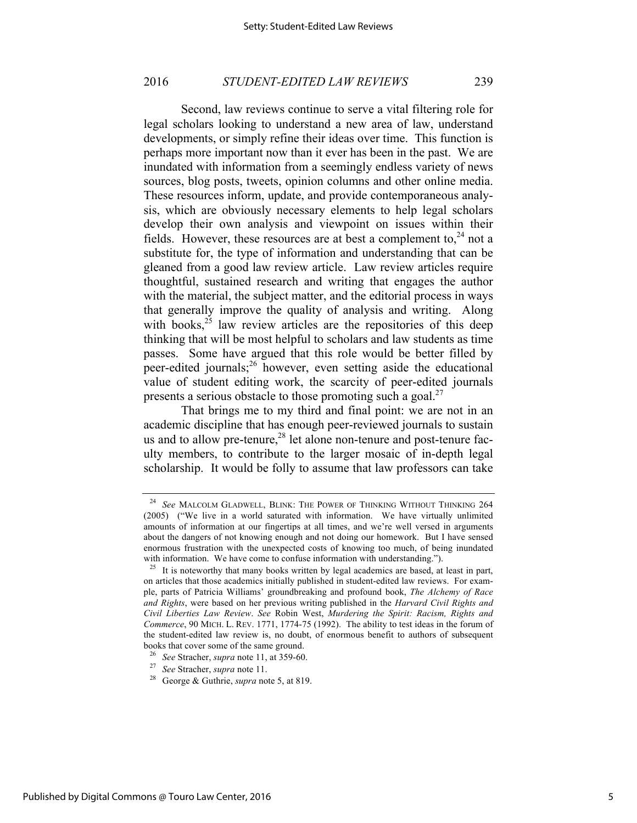#### 2016 *STUDENT-EDITED LAW REVIEWS* 239

Second, law reviews continue to serve a vital filtering role for legal scholars looking to understand a new area of law, understand developments, or simply refine their ideas over time. This function is perhaps more important now than it ever has been in the past. We are inundated with information from a seemingly endless variety of news sources, blog posts, tweets, opinion columns and other online media. These resources inform, update, and provide contemporaneous analysis, which are obviously necessary elements to help legal scholars develop their own analysis and viewpoint on issues within their fields. However, these resources are at best a complement to,  $24$  not a substitute for, the type of information and understanding that can be gleaned from a good law review article. Law review articles require thoughtful, sustained research and writing that engages the author with the material, the subject matter, and the editorial process in ways that generally improve the quality of analysis and writing. Along with books, $25$  law review articles are the repositories of this deep thinking that will be most helpful to scholars and law students as time passes. Some have argued that this role would be better filled by peer-edited journals;26 however, even setting aside the educational value of student editing work, the scarcity of peer-edited journals presents a serious obstacle to those promoting such a goal. $^{27}$ 

That brings me to my third and final point: we are not in an academic discipline that has enough peer-reviewed journals to sustain us and to allow pre-tenure,<sup>28</sup> let alone non-tenure and post-tenure faculty members, to contribute to the larger mosaic of in-depth legal scholarship. It would be folly to assume that law professors can take

See MALCOLM GLADWELL, BLINK: THE POWER OF THINKING WITHOUT THINKING 264 (2005) ("We live in a world saturated with information. We have virtually unlimited amounts of information at our fingertips at all times, and we're well versed in arguments about the dangers of not knowing enough and not doing our homework. But I have sensed enormous frustration with the unexpected costs of knowing too much, of being inundated with information. We have come to confuse information with understanding.").

<sup>&</sup>lt;sup>25</sup> It is noteworthy that many books written by legal academics are based, at least in part, on articles that those academics initially published in student-edited law reviews. For example, parts of Patricia Williams' groundbreaking and profound book, *The Alchemy of Race and Rights*, were based on her previous writing published in the *Harvard Civil Rights and Civil Liberties Law Review*. *See* Robin West, *Murdering the Spirit: Racism, Rights and Commerce*, 90 MICH. L. REV. 1771, 1774-75 (1992). The ability to test ideas in the forum of the student-edited law review is, no doubt, of enormous benefit to authors of subsequent books that cover some of the same ground.

<sup>26</sup> *See* Stracher, *supra* note 11, at 359-60.

<sup>27</sup> *See* Stracher, *supra* note 11.

<sup>28</sup> George & Guthrie, *supra* note 5, at 819.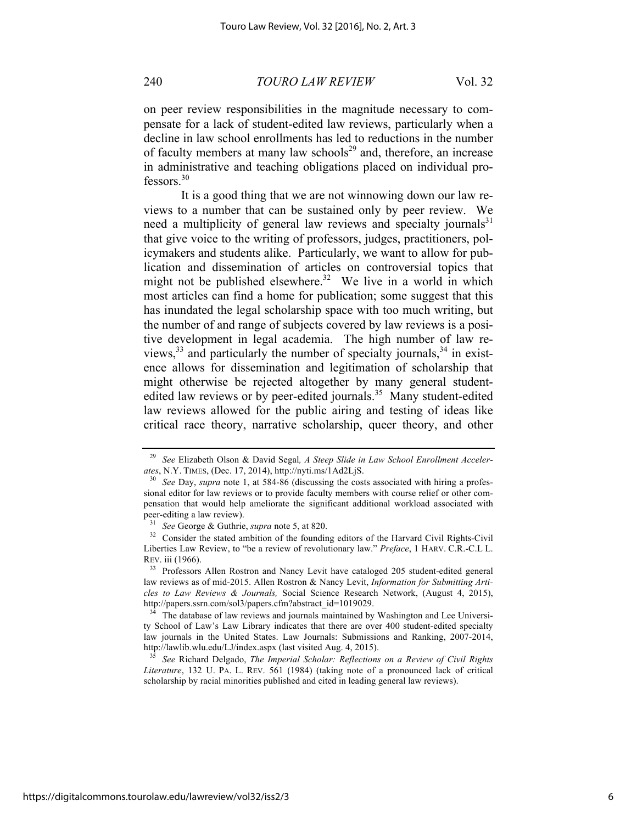240 *TOURO LAW REVIEW* Vol. 32

on peer review responsibilities in the magnitude necessary to compensate for a lack of student-edited law reviews, particularly when a decline in law school enrollments has led to reductions in the number of faculty members at many law schools<sup>29</sup> and, therefore, an increase in administrative and teaching obligations placed on individual pro $fessors<sup>30</sup>$ 

It is a good thing that we are not winnowing down our law reviews to a number that can be sustained only by peer review. We need a multiplicity of general law reviews and specialty journals $31$ that give voice to the writing of professors, judges, practitioners, policymakers and students alike. Particularly, we want to allow for publication and dissemination of articles on controversial topics that might not be published elsewhere.<sup>32</sup> We live in a world in which most articles can find a home for publication; some suggest that this has inundated the legal scholarship space with too much writing, but the number of and range of subjects covered by law reviews is a positive development in legal academia. The high number of law reviews,  $33$  and particularly the number of specialty journals,  $34$  in existence allows for dissemination and legitimation of scholarship that might otherwise be rejected altogether by many general studentedited law reviews or by peer-edited journals.<sup>35</sup> Many student-edited law reviews allowed for the public airing and testing of ideas like critical race theory, narrative scholarship, queer theory, and other

<sup>29</sup> *See* Elizabeth Olson & David Segal*, A Steep Slide in Law School Enrollment Accelerates*, N.Y. TIMES, (Dec. 17, 2014), http://nyti.ms/1Ad2LjS.

See Day, *supra* note 1, at 584-86 (discussing the costs associated with hiring a professional editor for law reviews or to provide faculty members with course relief or other compensation that would help ameliorate the significant additional workload associated with peer-editing a law review).

<sup>31</sup> *See* George & Guthrie, *supra* note 5, at 820.

<sup>&</sup>lt;sup>32</sup> Consider the stated ambition of the founding editors of the Harvard Civil Rights-Civil Liberties Law Review, to "be a review of revolutionary law." *Preface*, 1 HARV. C.R.-C.L L. REV. iii (1966).

<sup>&</sup>lt;sup>33</sup> Professors Allen Rostron and Nancy Levit have cataloged 205 student-edited general law reviews as of mid-2015. Allen Rostron & Nancy Levit, *Information for Submitting Articles to Law Reviews & Journals,* Social Science Research Network, (August 4, 2015), http://papers.ssrn.com/sol3/papers.cfm?abstract\_id=1019029.

The database of law reviews and journals maintained by Washington and Lee University School of Law's Law Library indicates that there are over 400 student-edited specialty law journals in the United States. Law Journals: Submissions and Ranking, 2007-2014, http://lawlib.wlu.edu/LJ/index.aspx (last visited Aug. 4, 2015).

<sup>35</sup> *See* Richard Delgado, *The Imperial Scholar: Reflections on a Review of Civil Rights Literature*, 132 U. PA. L. REV. 561 (1984) (taking note of a pronounced lack of critical scholarship by racial minorities published and cited in leading general law reviews).